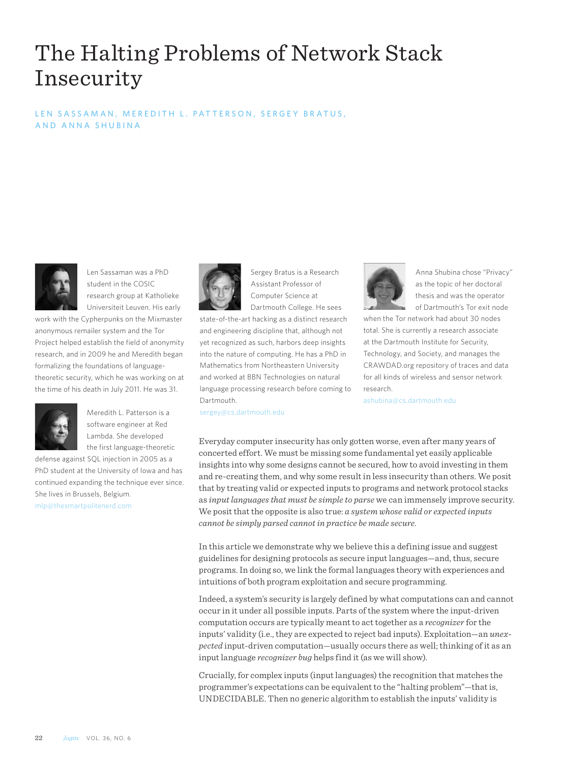# The Halting Problems of Network Stack Insecurity

# LEN SASSAMAN, MEREDITH L. PATTERSON, SERGEY BRATUS, AND ANNA SHUBINA



Len Sassaman was a PhD student in the COSIC research group at Katholieke Universiteit Leuven. His early

work with the Cypherpunks on the Mixmaster anonymous remailer system and the Tor Project helped establish the field of anonymity research, and in 2009 he and Meredith began formalizing the foundations of languagetheoretic security, which he was working on at the time of his death in July 2011. He was 31.



Meredith L. Patterson is a software engineer at Red Lambda. She developed the first language-theoretic

defense against SQL injection in 2005 as a PhD student at the University of Iowa and has continued expanding the technique ever since. She lives in Brussels, Belgium.

mlp@thesmartpolitenerd.com



Sergey Bratus is a Research Assistant Professor of Computer Science at Dartmouth College. He sees

state-of-the-art hacking as a distinct research and engineering discipline that, although not yet recognized as such, harbors deep insights into the nature of computing. He has a PhD in Mathematics from Northeastern University and worked at BBN Technologies on natural language processing research before coming to Dartmouth.

sergey@cs.dartmouth.edu



Anna Shubina chose "Privacy" as the topic of her doctoral thesis and was the operator of Dartmouth's Tor exit node

when the Tor network had about 30 nodes total. She is currently a research associate at the Dartmouth Institute for Security, Technology, and Society, and manages the CRAWDAD.org repository of traces and data for all kinds of wireless and sensor network research.

ashubina@cs.dartmouth.edu

Everyday computer insecurity has only gotten worse, even after many years of concerted effort. We must be missing some fundamental yet easily applicable insights into why some designs cannot be secured, how to avoid investing in them and re-creating them, and why some result in less insecurity than others. We posit that by treating valid or expected inputs to programs and network protocol stacks as *input languages that must be simple to parse* we can immensely improve security. We posit that the opposite is also true: *a system whose valid or expected inputs cannot be simply parsed cannot in practice be made secure.*

In this article we demonstrate why we believe this a defining issue and suggest guidelines for designing protocols as secure input languages—and, thus, secure programs. In doing so, we link the formal languages theory with experiences and intuitions of both program exploitation and secure programming.

Indeed, a system's security is largely defined by what computations can and cannot occur in it under all possible inputs. Parts of the system where the input-driven computation occurs are typically meant to act together as a *recognizer* for the inputs' validity (i.e., they are expected to reject bad inputs). Exploitation—an *unexpected* input-driven computation—usually occurs there as well; thinking of it as an input language *recognizer bug* helps find it (as we will show).

Crucially, for complex inputs (input languages) the recognition that matches the programmer's expectations can be equivalent to the "halting problem"—that is, UNDECIDABLE. Then no generic algorithm to establish the inputs' validity is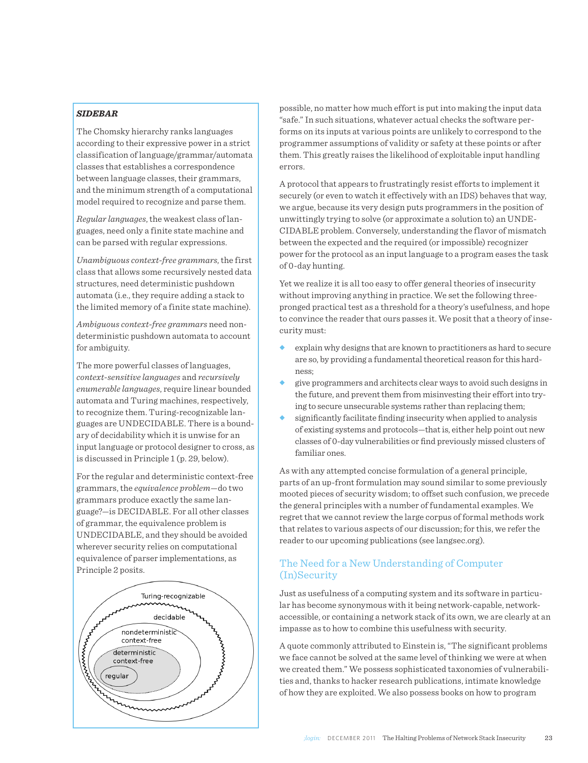# *SIDEBAR*

The Chomsky hierarchy ranks languages according to their expressive power in a strict classification of language/grammar/automata classes that establishes a correspondence between language classes, their grammars, and the minimum strength of a computational model required to recognize and parse them.

*Regular languages*, the weakest class of languages, need only a finite state machine and can be parsed with regular expressions.

*Unambiguous context-free grammars*, the first class that allows some recursively nested data structures, need deterministic pushdown automata (i.e., they require adding a stack to the limited memory of a finite state machine).

*Ambiguous context-free grammars* need nondeterministic pushdown automata to account for ambiguity.

The more powerful classes of languages, *context-sensitive languages* and *recursively enumerable languages*, require linear bounded automata and Turing machines, respectively, to recognize them. Turing-recognizable languages are UNDECIDABLE. There is a boundary of decidability which it is unwise for an input language or protocol designer to cross, as is discussed in Principle 1 (p. 29, below).

For the regular and deterministic context-free grammars, the *equivalence problem*—do two grammars produce exactly the same language?—is DECIDABLE. For all other classes of grammar, the equivalence problem is UNDECIDABLE, and they should be avoided wherever security relies on computational equivalence of parser implementations, as Principle 2 posits.



possible, no matter how much effort is put into making the input data "safe." In such situations, whatever actual checks the software performs on its inputs at various points are unlikely to correspond to the programmer assumptions of validity or safety at these points or after them. This greatly raises the likelihood of exploitable input handling errors.

A protocol that appears to frustratingly resist efforts to implement it securely (or even to watch it effectively with an IDS) behaves that way, we argue, because its very design puts programmers in the position of unwittingly trying to solve (or approximate a solution to) an UNDE-CIDABLE problem. Conversely, understanding the flavor of mismatch between the expected and the required (or impossible) recognizer power for the protocol as an input language to a program eases the task of 0-day hunting.

Yet we realize it is all too easy to offer general theories of insecurity without improving anything in practice. We set the following threepronged practical test as a threshold for a theory's usefulness, and hope to convince the reader that ours passes it. We posit that a theory of insecurity must:

- explain why designs that are known to practitioners as hard to secure are so, by providing a fundamental theoretical reason for this hardness;
- give programmers and architects clear ways to avoid such designs in the future, and prevent them from misinvesting their effort into trying to secure unsecurable systems rather than replacing them;
- significantly facilitate finding insecurity when applied to analysis of existing systems and protocols—that is, either help point out new classes of 0-day vulnerabilities or find previously missed clusters of familiar ones.

As with any attempted concise formulation of a general principle, parts of an up-front formulation may sound similar to some previously mooted pieces of security wisdom; to offset such confusion, we precede the general principles with a number of fundamental examples. We regret that we cannot review the large corpus of formal methods work that relates to various aspects of our discussion; for this, we refer the reader to our upcoming publications (see langsec.org).

# The Need for a New Understanding of Computer (In)Security

Just as usefulness of a computing system and its software in particular has become synonymous with it being network-capable, networkaccessible, or containing a network stack of its own, we are clearly at an impasse as to how to combine this usefulness with security.

A quote commonly attributed to Einstein is, "The significant problems we face cannot be solved at the same level of thinking we were at when we created them." We possess sophisticated taxonomies of vulnerabilities and, thanks to hacker research publications, intimate knowledge of how they are exploited. We also possess books on how to program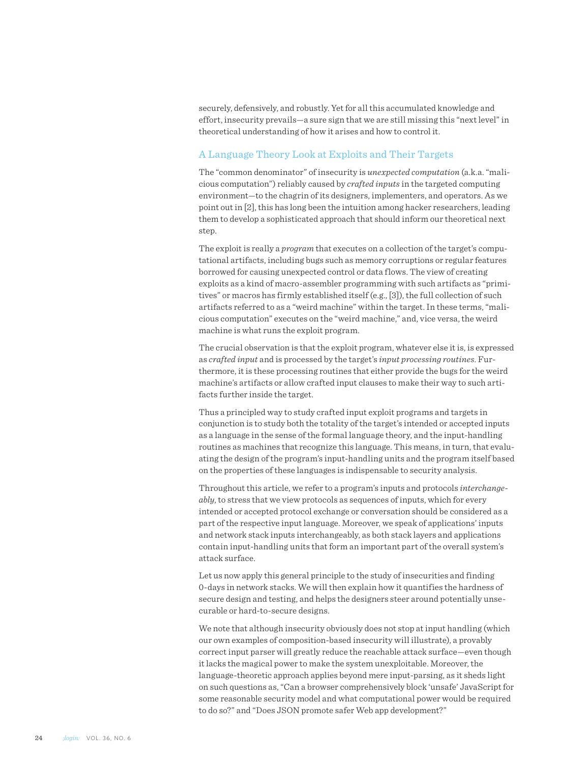securely, defensively, and robustly. Yet for all this accumulated knowledge and effort, insecurity prevails—a sure sign that we are still missing this "next level" in theoretical understanding of how it arises and how to control it.

# A Language Theory Look at Exploits and Their Targets

The "common denominator" of insecurity is *unexpected computation* (a.k.a. "malicious computation") reliably caused by *crafted inputs* in the targeted computing environment—to the chagrin of its designers, implementers, and operators. As we point out in [2], this has long been the intuition among hacker researchers, leading them to develop a sophisticated approach that should inform our theoretical next step.

The exploit is really a *program* that executes on a collection of the target's computational artifacts, including bugs such as memory corruptions or regular features borrowed for causing unexpected control or data flows. The view of creating exploits as a kind of macro-assembler programming with such artifacts as "primitives" or macros has firmly established itself (e.g., [3]), the full collection of such artifacts referred to as a "weird machine" within the target. In these terms, "malicious computation" executes on the "weird machine," and, vice versa, the weird machine is what runs the exploit program.

The crucial observation is that the exploit program, whatever else it is, is expressed as *crafted input* and is processed by the target's *input processing routines*. Furthermore, it is these processing routines that either provide the bugs for the weird machine's artifacts or allow crafted input clauses to make their way to such artifacts further inside the target.

Thus a principled way to study crafted input exploit programs and targets in conjunction is to study both the totality of the target's intended or accepted inputs as a language in the sense of the formal language theory, and the input-handling routines as machines that recognize this language. This means, in turn, that evaluating the design of the program's input-handling units and the program itself based on the properties of these languages is indispensable to security analysis.

Throughout this article, we refer to a program's inputs and protocols *interchangeably*, to stress that we view protocols as sequences of inputs, which for every intended or accepted protocol exchange or conversation should be considered as a part of the respective input language. Moreover, we speak of applications' inputs and network stack inputs interchangeably, as both stack layers and applications contain input-handling units that form an important part of the overall system's attack surface.

Let us now apply this general principle to the study of insecurities and finding 0-days in network stacks. We will then explain how it quantifies the hardness of secure design and testing, and helps the designers steer around potentially unsecurable or hard-to-secure designs.

We note that although insecurity obviously does not stop at input handling (which our own examples of composition-based insecurity will illustrate), a provably correct input parser will greatly reduce the reachable attack surface—even though it lacks the magical power to make the system unexploitable. Moreover, the language-theoretic approach applies beyond mere input-parsing, as it sheds light on such questions as, "Can a browser comprehensively block 'unsafe' JavaScript for some reasonable security model and what computational power would be required to do so?" and "Does JSON promote safer Web app development?"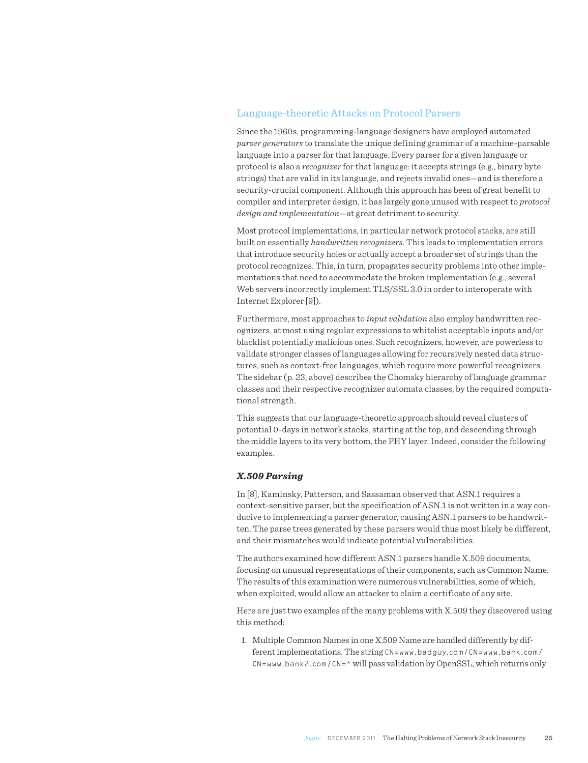# Language-theoretic Attacks on Protocol Parsers

Since the 1960s, programming-language designers have employed automated *parser generators* to translate the unique defining grammar of a machine-parsable language into a parser for that language. Every parser for a given language or protocol is also a *recognizer* for that language: it accepts strings (e.g., binary byte strings) that are valid in its language, and rejects invalid ones—and is therefore a security-crucial component. Although this approach has been of great benefit to compiler and interpreter design, it has largely gone unused with respect to *protocol design and implementation*—at great detriment to security.

Most protocol implementations, in particular network protocol stacks, are still built on essentially *handwritten recognizers*. This leads to implementation errors that introduce security holes or actually accept a broader set of strings than the protocol recognizes. This, in turn, propagates security problems into other implementations that need to accommodate the broken implementation (e.g., several Web servers incorrectly implement TLS/SSL 3.0 in order to interoperate with Internet Explorer [9]).

Furthermore, most approaches to *input validation* also employ handwritten recognizers, at most using regular expressions to whitelist acceptable inputs and/or blacklist potentially malicious ones. Such recognizers, however, are powerless to validate stronger classes of languages allowing for recursively nested data structures, such as context-free languages, which require more powerful recognizers. The sidebar (p. 23, above) describes the Chomsky hierarchy of language grammar classes and their respective recognizer automata classes, by the required computational strength.

This suggests that our language-theoretic approach should reveal clusters of potential 0-days in network stacks, starting at the top, and descending through the middle layers to its very bottom, the PHY layer. Indeed, consider the following examples.

#### *X.509 Parsing*

In [\[8\]](file:///Users/linda/Clients/USENIX/DECEMBER_2011_login/toLinda/#pki-layer-cake), Kaminsky, Patterson, and Sassaman observed that ASN.1 requires a context-sensitive parser, but the specification of ASN.1 is not written in a way conducive to implementing a parser generator, causing ASN.1 parsers to be handwritten. The parse trees generated by these parsers would thus most likely be different, and their mismatches would indicate potential vulnerabilities.

The authors examined how different ASN.1 parsers handle X.509 documents, focusing on unusual representations of their components, such as Common Name. The results of this examination were numerous vulnerabilities, some of which, when exploited, would allow an attacker to claim a certificate of any site.

Here are just two examples of the many problems with X.509 they discovered using this method:

1. Multiple Common Names in one X.509 Name are handled differently by different implementations. The string CN=www.badguy.com/CN=www.bank.com/  $CN=www.bank2.com/CN=*$  will pass validation by OpenSSL, which returns only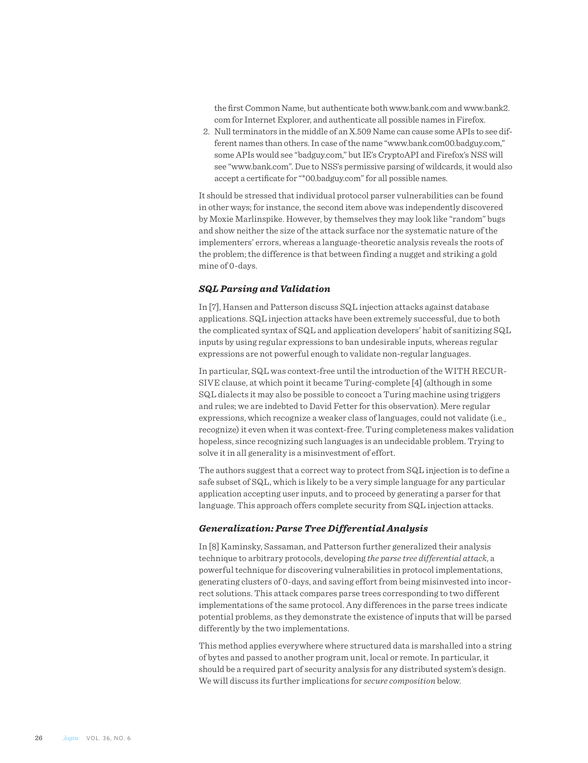the first Common Name, but authenticate both www.bank.com and www.bank2. com for Internet Explorer, and authenticate all possible names in Firefox.

2. Null terminators in the middle of an X.509 Name can cause some APIs to see different names than others. In case of the name "www.bank.com00.badguy.com," some APIs would see "badguy.com," but IE's CryptoAPI and Firefox's NSS will see "www.bank.com". Due to NSS's permissive parsing of wildcards, it would also accept a certificate for "\*00.badguy.com" for all possible names.

It should be stressed that individual protocol parser vulnerabilities can be found in other ways; for instance, the second item above was independently discovered by Moxie Marlinspike. However, by themselves they may look like "random" bugs and show neither the size of the attack surface nor the systematic nature of the implementers' errors, whereas a language-theoretic analysis reveals the roots of the problem; the difference is that between finding a nugget and striking a gold mine of 0-days.

#### *SQL Parsing and Validation*

In [7], Hansen and Patterson discuss SQL injection attacks against database applications. SQL injection attacks have been extremely successful, due to both the complicated syntax of SQL and application developers' habit of sanitizing SQL inputs by using regular expressions to ban undesirable inputs, whereas regular expressions are not powerful enough to validate non-regular languages.

In particular, SQL was context-free until the introduction of the WITH RECUR-SIVE clause, at which point it became Turing-complete [4] (although in some SQL dialects it may also be possible to concoct a Turing machine using triggers and rules; we are indebted to David Fetter for this observation). Mere regular expressions, which recognize a weaker class of languages, could not validate (i.e., recognize) it even when it was context-free. Turing completeness makes validation hopeless, since recognizing such languages is an undecidable problem. Trying to solve it in all generality is a misinvestment of effort.

The authors suggest that a correct way to protect from SQL injection is to define a safe subset of SQL, which is likely to be a very simple language for any particular application accepting user inputs, and to proceed by generating a parser for that language. This approach offers complete security from SQL injection attacks.

#### *Generalization: Parse Tree Differential Analysis*

In [8] Kaminsky, Sassaman, and Patterson further generalized their analysis technique to arbitrary protocols, developing *the parse tree differential attack*, a powerful technique for discovering vulnerabilities in protocol implementations, generating clusters of 0-days, and saving effort from being misinvested into incorrect solutions. This attack compares parse trees corresponding to two different implementations of the same protocol. Any differences in the parse trees indicate potential problems, as they demonstrate the existence of inputs that will be parsed differently by the two implementations.

This method applies everywhere where structured data is marshalled into a string of bytes and passed to another program unit, local or remote. In particular, it should be a required part of security analysis for any distributed system's design. We will discuss its further implications for *secure composition* below.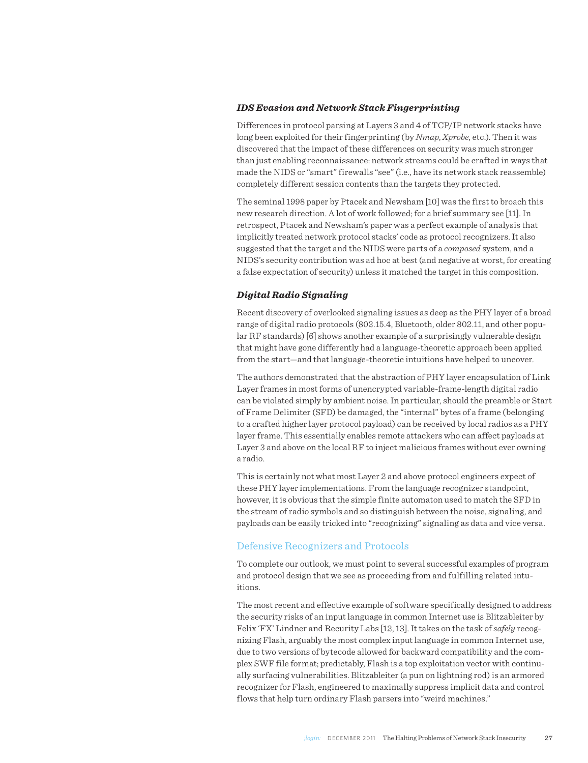#### *IDS Evasion and Network Stack Fingerprinting*

Differences in protocol parsing at Layers 3 and 4 of TCP/IP network stacks have long been exploited for their fingerprinting (by *Nmap*, *Xprobe*, etc.). Then it was discovered that the impact of these differences on security was much stronger than just enabling reconnaissance: network streams could be crafted in ways that made the NIDS or "smart" firewalls "see" (i.e., have its network stack reassemble) completely different session contents than the targets they protected.

The seminal 1998 paper by Ptacek and Newsham [10] was the first to broach this new research direction. A lot of work followed; for a brief summary see [11]. In retrospect, Ptacek and Newsham's paper was a perfect example of analysis that implicitly treated network protocol stacks' code as protocol recognizers. It also suggested that the target and the NIDS were parts of a *composed* system, and a NIDS's security contribution was ad hoc at best (and negative at worst, for creating a false expectation of security) unless it matched the target in this composition.

#### *Digital Radio Signaling*

Recent discovery of overlooked signaling issues as deep as the PHY layer of a broad range of digital radio protocols (802.15.4, Bluetooth, older 802.11, and other popular RF standards) [6] shows another example of a surprisingly vulnerable design that might have gone differently had a language-theoretic approach been applied from the start—and that language-theoretic intuitions have helped to uncover.

The authors demonstrated that the abstraction of PHY layer encapsulation of Link Layer frames in most forms of unencrypted variable-frame-length digital radio can be violated simply by ambient noise. In particular, should the preamble or Start of Frame Delimiter (SFD) be damaged, the "internal" bytes of a frame (belonging to a crafted higher layer protocol payload) can be received by local radios as a PHY layer frame. This essentially enables remote attackers who can affect payloads at Layer 3 and above on the local RF to inject malicious frames without ever owning a radio.

This is certainly not what most Layer 2 and above protocol engineers expect of these PHY layer implementations. From the language recognizer standpoint, however, it is obvious that the simple finite automaton used to match the SFD in the stream of radio symbols and so distinguish between the noise, signaling, and payloads can be easily tricked into "recognizing" signaling as data and vice versa.

#### Defensive Recognizers and Protocols

To complete our outlook, we must point to several successful examples of program and protocol design that we see as proceeding from and fulfilling related intuitions.

The most recent and effective example of software specifically designed to address the security risks of an input language in common Internet use is Blitzableiter by Felix 'FX' Lindner and Recurity Labs [12, 13]. It takes on the task of *safely* recognizing Flash, arguably the most complex input language in common Internet use, due to two versions of bytecode allowed for backward compatibility and the complex SWF file format; predictably, Flash is a top exploitation vector with continually surfacing vulnerabilities. Blitzableiter (a pun on lightning rod) is an armored recognizer for Flash, engineered to maximally suppress implicit data and control flows that help turn ordinary Flash parsers into "weird machines."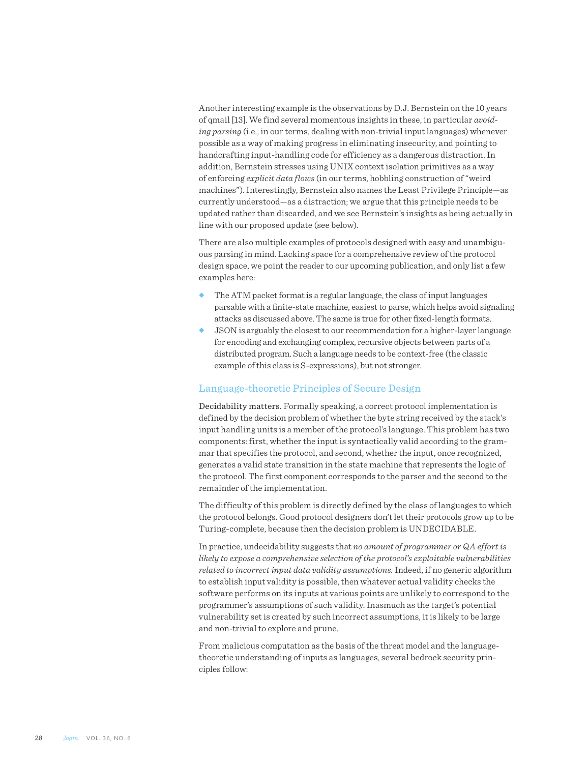Another interesting example is the observations by D.J. Bernstein on the 10 years of qmail [13]. We find several momentous insights in these, in particular *avoiding parsing* (i.e., in our terms, dealing with non-trivial input languages) whenever possible as a way of making progress in eliminating insecurity, and pointing to handcrafting input-handling code for efficiency as a dangerous distraction. In addition, Bernstein stresses using UNIX context isolation primitives as a way of enforcing *explicit data flows* (in our terms, hobbling construction of "weird machines"). Interestingly, Bernstein also names the Least Privilege Principle—as currently understood—as a distraction; we argue that this principle needs to be updated rather than discarded, and we see Bernstein's insights as being actually in line with our proposed update (see below).

There are also multiple examples of protocols designed with easy and unambiguous parsing in mind. Lacking space for a comprehensive review of the protocol design space, we point the reader to our upcoming publication, and only list a few examples here:

- The ATM packet format is a regular language, the class of input languages parsable with a finite-state machine, easiest to parse, which helps avoid signaling attacks as discussed above. The same is true for other fixed-length formats.
- $\bullet$  JSON is arguably the closest to our recommendation for a higher-layer language for encoding and exchanging complex, recursive objects between parts of a distributed program. Such a language needs to be context-free (the classic example of this class is S-expressions), but not stronger.

# Language-theoretic Principles of Secure Design

Decidability matters. Formally speaking, a correct protocol implementation is defined by the decision problem of whether the byte string received by the stack's input handling units is a member of the protocol's language. This problem has two components: first, whether the input is syntactically valid according to the grammar that specifies the protocol, and second, whether the input, once recognized, generates a valid state transition in the state machine that represents the logic of the protocol. The first component corresponds to the parser and the second to the remainder of the implementation.

The difficulty of this problem is directly defined by the class of languages to which the protocol belongs. Good protocol designers don't let their protocols grow up to be Turing-complete, because then the decision problem is UNDECIDABLE.

In practice, undecidability suggests that *no amount of programmer or QA effort is likely to expose a comprehensive selection of the protocol's exploitable vulnerabilities related to incorrect input data validity assumptions.* Indeed, if no generic algorithm to establish input validity is possible, then whatever actual validity checks the software performs on its inputs at various points are unlikely to correspond to the programmer's assumptions of such validity. Inasmuch as the target's potential vulnerability set is created by such incorrect assumptions, it is likely to be large and non-trivial to explore and prune.

From malicious computation as the basis of the threat model and the languagetheoretic understanding of inputs as languages, several bedrock security principles follow: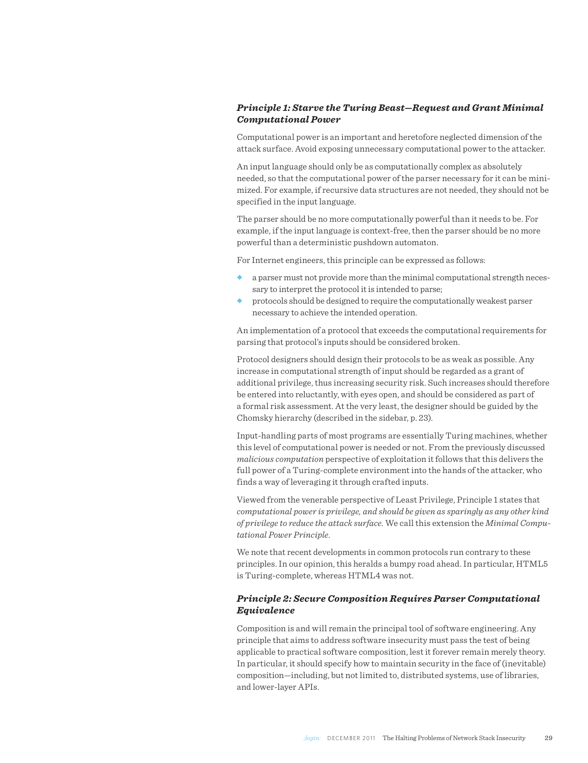# *Principle 1: Starve the Turing Beast—Request and Grant Minimal Computational Power*

Computational power is an important and heretofore neglected dimension of the attack surface. Avoid exposing unnecessary computational power to the attacker.

An input language should only be as computationally complex as absolutely needed, so that the computational power of the parser necessary for it can be minimized. For example, if recursive data structures are not needed, they should not be specified in the input language.

The parser should be no more computationally powerful than it needs to be. For example, if the input language is context-free, then the parser should be no more powerful than a deterministic pushdown automaton.

For Internet engineers, this principle can be expressed as follows:

- a parser must not provide more than the minimal computational strength necessary to interpret the protocol it is intended to parse;
- u protocols should be designed to require the computationally weakest parser necessary to achieve the intended operation.

An implementation of a protocol that exceeds the computational requirements for parsing that protocol's inputs should be considered broken.

Protocol designers should design their protocols to be as weak as possible. Any increase in computational strength of input should be regarded as a grant of additional privilege, thus increasing security risk. Such increases should therefore be entered into reluctantly, with eyes open, and should be considered as part of a formal risk assessment. At the very least, the designer should be guided by the Chomsky hierarchy (described in the sidebar, p. 23).

Input-handling parts of most programs are essentially Turing machines, whether this level of computational power is needed or not. From the previously discussed *malicious computation* perspective of exploitation it follows that this delivers the full power of a Turing-complete environment into the hands of the attacker, who finds a way of leveraging it through crafted inputs.

Viewed from the venerable perspective of Least Privilege, Principle 1 states that *computational power is privilege, and should be given as sparingly as any other kind of privilege to reduce the attack surface.* We call this extension the *Minimal Computational Power Principle*.

We note that recent developments in common protocols run contrary to these principles. In our opinion, this heralds a bumpy road ahead. In particular, HTML5 is Turing-complete, whereas HTML4 was not.

### *Principle 2: Secure Composition Requires Parser Computational Equivalence*

Composition is and will remain the principal tool of software engineering. Any principle that aims to address software insecurity must pass the test of being applicable to practical software composition, lest it forever remain merely theory. In particular, it should specify how to maintain security in the face of (inevitable) composition—including, but not limited to, distributed systems, use of libraries, and lower-layer APIs.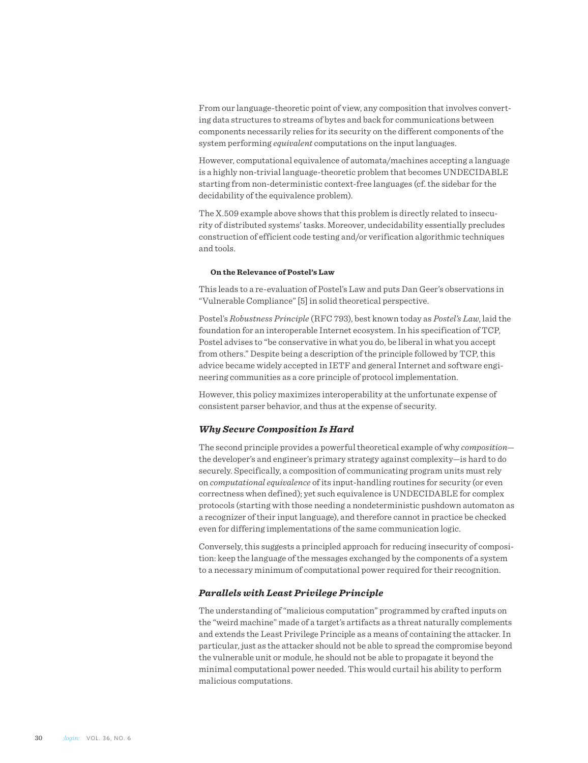From our language-theoretic point of view, any composition that involves converting data structures to streams of bytes and back for communications between components necessarily relies for its security on the different components of the system performing *equivalent* computations on the input languages.

However, computational equivalence of automata/machines accepting a language is a highly non-trivial language-theoretic problem that becomes UNDECIDABLE starting from non-deterministic context-free languages (cf. the sidebar for the decidability of the equivalence problem).

The X.509 example above shows that this problem is directly related to insecurity of distributed systems' tasks. Moreover, undecidability essentially precludes construction of efficient code testing and/or verification algorithmic techniques and tools.

#### **On the Relevance of Postel's Law**

This leads to a re-evaluation of Postel's Law and puts Dan Geer's observations in "Vulnerable Compliance" [5] in solid theoretical perspective.

Postel's *Robustness Principle* (RFC 793), best known today as *Postel's Law*, laid the foundation for an interoperable Internet ecosystem. In his specification of TCP, Postel advises to "be conservative in what you do, be liberal in what you accept from others." Despite being a description of the principle followed by TCP, this advice became widely accepted in IETF and general Internet and software engineering communities as a core principle of protocol implementation.

However, this policy maximizes interoperability at the unfortunate expense of consistent parser behavior, and thus at the expense of security.

#### *Why Secure Composition Is Hard*

The second principle provides a powerful theoretical example of why *composition* the developer's and engineer's primary strategy against complexity—is hard to do securely. Specifically, a composition of communicating program units must rely on *computational equivalence* of its input-handling routines for security (or even correctness when defined); yet such equivalence is UNDECIDABLE for complex protocols (starting with those needing a nondeterministic pushdown automaton as a recognizer of their input language), and therefore cannot in practice be checked even for differing implementations of the same communication logic.

Conversely, this suggests a principled approach for reducing insecurity of composition: keep the language of the messages exchanged by the components of a system to a necessary minimum of computational power required for their recognition.

#### *Parallels with Least Privilege Principle*

The understanding of "malicious computation" programmed by crafted inputs on the "weird machine" made of a target's artifacts as a threat naturally complements and extends the Least Privilege Principle as a means of containing the attacker. In particular, just as the attacker should not be able to spread the compromise beyond the vulnerable unit or module, he should not be able to propagate it beyond the minimal computational power needed. This would curtail his ability to perform malicious computations.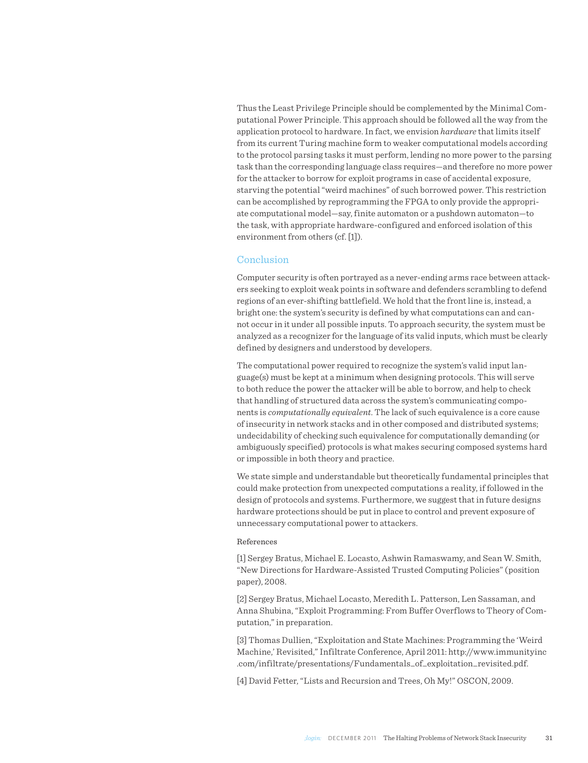Thus the Least Privilege Principle should be complemented by the Minimal Computational Power Principle. This approach should be followed all the way from the application protocol to hardware. In fact, we envision *hardware* that limits itself from its current Turing machine form to weaker computational models according to the protocol parsing tasks it must perform, lending no more power to the parsing task than the corresponding language class requires—and therefore no more power for the attacker to borrow for exploit programs in case of accidental exposure, starving the potential "weird machines" of such borrowed power. This restriction can be accomplished by reprogramming the FPGA to only provide the appropriate computational model—say, finite automaton or a pushdown automaton—to the task, with appropriate hardware-configured and enforced isolation of this environment from others (cf. [1]).

### Conclusion

Computer security is often portrayed as a never-ending arms race between attackers seeking to exploit weak points in software and defenders scrambling to defend regions of an ever-shifting battlefield. We hold that the front line is, instead, a bright one: the system's security is defined by what computations can and cannot occur in it under all possible inputs. To approach security, the system must be analyzed as a recognizer for the language of its valid inputs, which must be clearly defined by designers and understood by developers.

The computational power required to recognize the system's valid input language(s) must be kept at a minimum when designing protocols. This will serve to both reduce the power the attacker will be able to borrow, and help to check that handling of structured data across the system's communicating components is *computationally equivalent*. The lack of such equivalence is a core cause of insecurity in network stacks and in other composed and distributed systems; undecidability of checking such equivalence for computationally demanding (or ambiguously specified) protocols is what makes securing composed systems hard or impossible in both theory and practice.

We state simple and understandable but theoretically fundamental principles that could make protection from unexpected computations a reality, if followed in the design of protocols and systems. Furthermore, we suggest that in future designs hardware protections should be put in place to control and prevent exposure of unnecessary computational power to attackers.

#### References

[\[1\]](file:///Users/linda/Clients/USENIX/DECEMBER_2011_login/toLinda/#CITEbratus:ftc-berlin) Sergey Bratus, Michael E. Locasto, Ashwin Ramaswamy, and Sean W. Smith, "New Directions for Hardware-Assisted Trusted Computing Policies" (position paper), 2008.

[\[2\]](file:///Users/linda/Clients/USENIX/DECEMBER_2011_login/toLinda/#CITEweird-machines) Sergey Bratus, Michael Locasto, Meredith L. Patterson, Len Sassaman, and Anna Shubina, "Exploit Programming: From Buffer Overflows to Theory of Computation," in preparation.

[\[3\]](file:///Users/linda/Clients/USENIX/DECEMBER_2011_login/toLinda/#CITEhalvar:infiltrate) Thomas Dullien, "Exploitation and State Machines: Programming the 'Weird Machine,' Revisited," Infiltrate Conference, April 2011: [http://www.immunityinc](http://www.immunityinc.com/infiltrate/presentations/Fundamentals_of_exploitation_revisited.pdf) [.com/infiltrate/presentations/Fundamentals\\_of\\_exploitation\\_revisited.pdf](http://www.immunityinc.com/infiltrate/presentations/Fundamentals_of_exploitation_revisited.pdf).

[\[4\]](file:///Users/linda/Clients/USENIX/DECEMBER_2011_login/toLinda/#CITEOSCON09) David Fetter, "Lists and Recursion and Trees, Oh My!" OSCON, 2009.